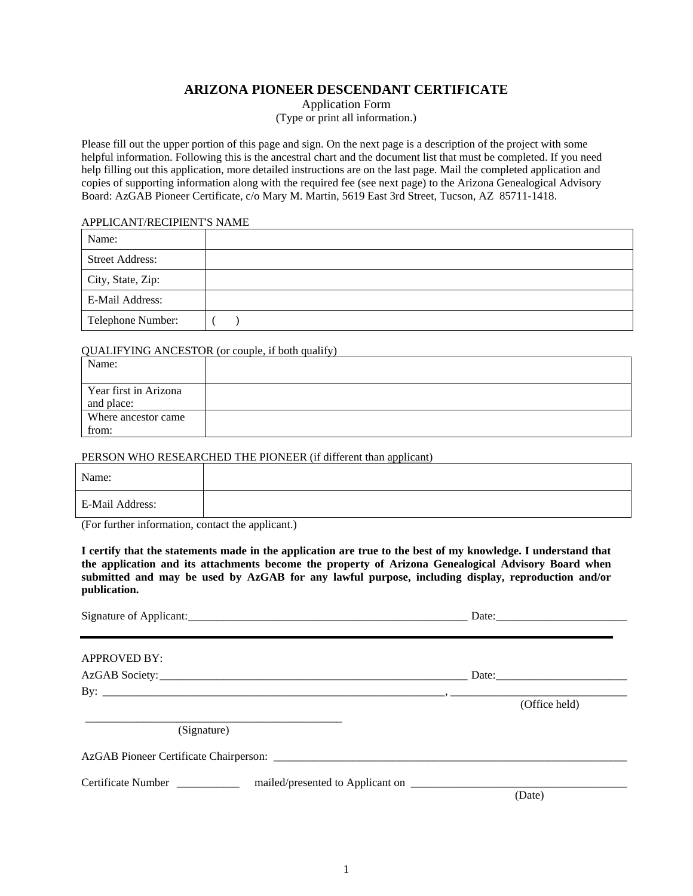## **ARIZONA PIONEER DESCENDANT CERTIFICATE**

Application Form (Type or print all information.)

Please fill out the upper portion of this page and sign. On the next page is a description of the project with some helpful information. Following this is the ancestral chart and the document list that must be completed. If you need help filling out this application, more detailed instructions are on the last page. Mail the completed application and copies of supporting information along with the required fee (see next page) to the Arizona Genealogical Advisory Board: AzGAB Pioneer Certificate, c/o Mary M. Martin, 5619 East 3rd Street, Tucson, AZ 85711-1418.

#### APPLICANT/RECIPIENT'S NAME

| Name:                  |  |
|------------------------|--|
| <b>Street Address:</b> |  |
| City, State, Zip:      |  |
| E-Mail Address:        |  |
| Telephone Number:      |  |

#### QUALIFYING ANCESTOR (or couple, if both qualify)

| Name:                               |  |
|-------------------------------------|--|
| Year first in Arizona<br>and place: |  |
| Where ancestor came<br>from:        |  |

#### PERSON WHO RESEARCHED THE PIONEER (if different than applicant)

| Name:           |  |
|-----------------|--|
| E-Mail Address: |  |

(For further information, contact the applicant.)

**I certify that the statements made in the application are true to the best of my knowledge. I understand that the application and its attachments become the property of Arizona Genealogical Advisory Board when submitted and may be used by AzGAB for any lawful purpose, including display, reproduction and/or publication.** 

|                                                                                                      | Date:         |  |
|------------------------------------------------------------------------------------------------------|---------------|--|
| <b>APPROVED BY:</b>                                                                                  |               |  |
|                                                                                                      | Date:         |  |
| By: $\qquad \qquad \qquad$ (Office held)                                                             | (Office held) |  |
| (Signature)                                                                                          |               |  |
|                                                                                                      |               |  |
| Certificate Number ______________ mailed/presented to Applicant on _________________________________ | (Date)        |  |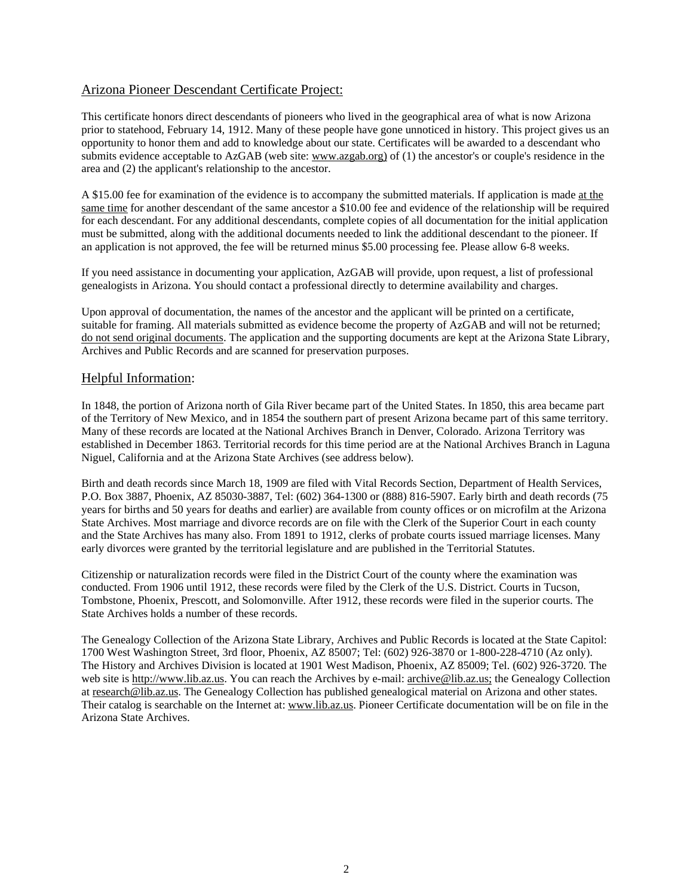## Arizona Pioneer Descendant Certificate Project:

This certificate honors direct descendants of pioneers who lived in the geographical area of what is now Arizona prior to statehood, February 14, 1912. Many of these people have gone unnoticed in history. This project gives us an opportunity to honor them and add to knowledge about our state. Certificates will be awarded to a descendant who submits evidence acceptable to AzGAB (web site: www.azgab.org) of (1) the ancestor's or couple's residence in the area and (2) the applicant's relationship to the ancestor.

A \$15.00 fee for examination of the evidence is to accompany the submitted materials. If application is made at the same time for another descendant of the same ancestor a \$10.00 fee and evidence of the relationship will be required for each descendant. For any additional descendants, complete copies of all documentation for the initial application must be submitted, along with the additional documents needed to link the additional descendant to the pioneer. If an application is not approved, the fee will be returned minus \$5.00 processing fee. Please allow 6-8 weeks.

If you need assistance in documenting your application, AzGAB will provide, upon request, a list of professional genealogists in Arizona. You should contact a professional directly to determine availability and charges.

Upon approval of documentation, the names of the ancestor and the applicant will be printed on a certificate, suitable for framing. All materials submitted as evidence become the property of AzGAB and will not be returned; do not send original documents. The application and the supporting documents are kept at the Arizona State Library, Archives and Public Records and are scanned for preservation purposes.

### Helpful Information:

In 1848, the portion of Arizona north of Gila River became part of the United States. In 1850, this area became part of the Territory of New Mexico, and in 1854 the southern part of present Arizona became part of this same territory. Many of these records are located at the National Archives Branch in Denver, Colorado. Arizona Territory was established in December 1863. Territorial records for this time period are at the National Archives Branch in Laguna Niguel, California and at the Arizona State Archives (see address below).

Birth and death records since March 18, 1909 are filed with Vital Records Section, Department of Health Services, P.O. Box 3887, Phoenix, AZ 85030-3887, Tel: (602) 364-1300 or (888) 816-5907. Early birth and death records (75 years for births and 50 years for deaths and earlier) are available from county offices or on microfilm at the Arizona State Archives. Most marriage and divorce records are on file with the Clerk of the Superior Court in each county and the State Archives has many also. From 1891 to 1912, clerks of probate courts issued marriage licenses. Many early divorces were granted by the territorial legislature and are published in the Territorial Statutes.

Citizenship or naturalization records were filed in the District Court of the county where the examination was conducted. From 1906 until 1912, these records were filed by the Clerk of the U.S. District. Courts in Tucson, Tombstone, Phoenix, Prescott, and Solomonville. After 1912, these records were filed in the superior courts. The State Archives holds a number of these records.

The Genealogy Collection of the Arizona State Library, Archives and Public Records is located at the State Capitol: 1700 West Washington Street, 3rd floor, Phoenix, AZ 85007; Tel: (602) 926-3870 or 1-800-228-4710 (Az only). The History and Archives Division is located at 1901 West Madison, Phoenix, AZ 85009; Tel. (602) 926-3720. The web site is http://www.lib.az.us. You can reach the Archives by e-mail: archive@lib.az.us; the Genealogy Collection at research@lib.az.us. The Genealogy Collection has published genealogical material on Arizona and other states. Their catalog is searchable on the Internet at: www.lib.az.us. Pioneer Certificate documentation will be on file in the Arizona State Archives.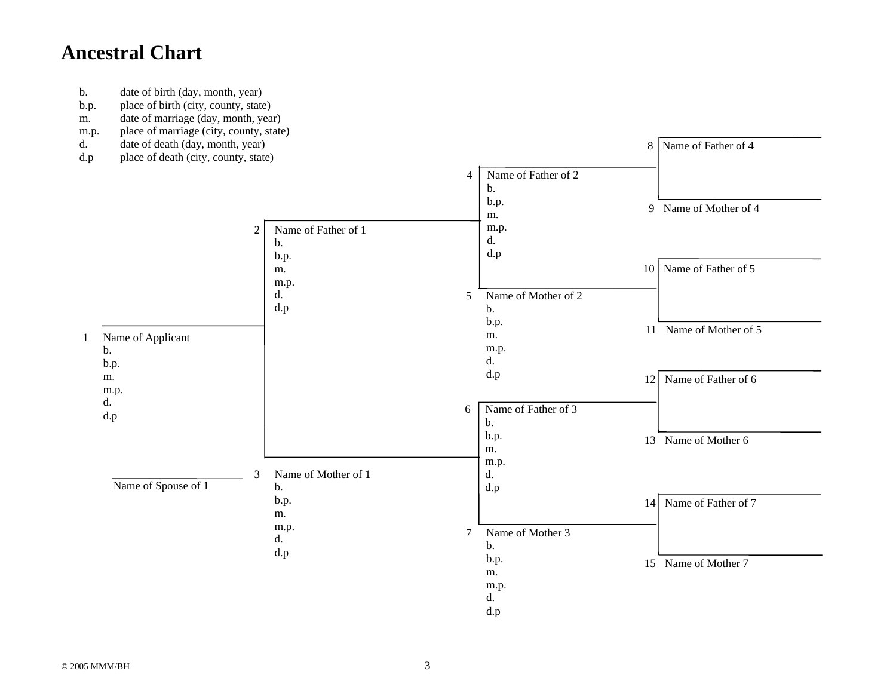# **Ancestral Chart**

- b. date of birth (day, month, year)
- b.p. place of birth (city, county, state)
- m. date of marriage (day, month, year)
- m.p. place of marriage (city, county, state)
- d. date of death (day, month, year)
-